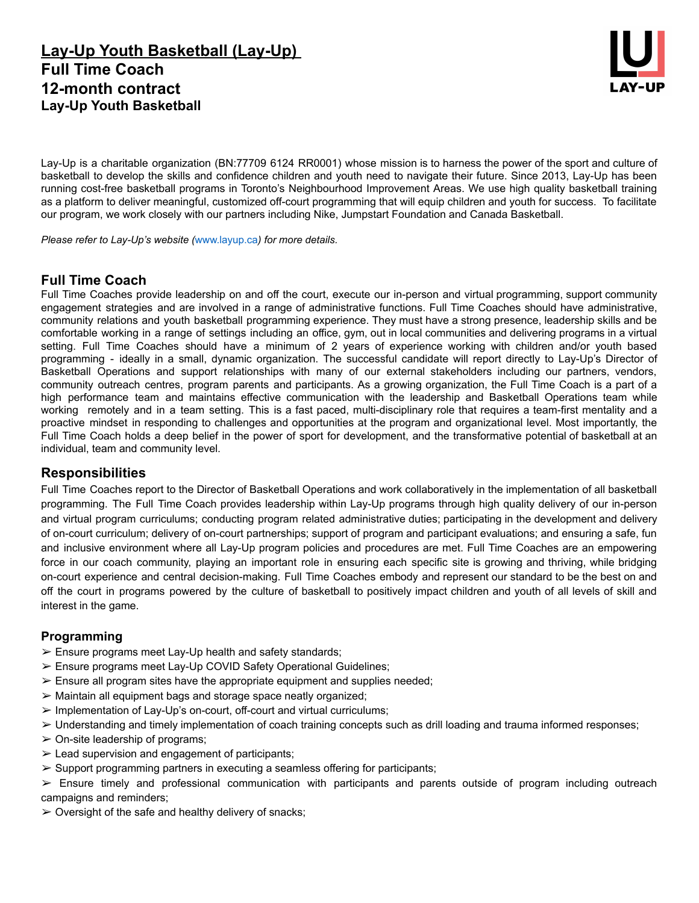# **Lay-Up Youth Basketball (Lay-Up) Full Time Coach 12-month contract Lay-Up Youth Basketball**



Lay-Up is a charitable organization (BN:77709 6124 RR0001) whose mission is to harness the power of the sport and culture of basketball to develop the skills and confidence children and youth need to navigate their future. Since 2013, Lay-Up has been running cost-free basketball programs in Toronto's Neighbourhood Improvement Areas. We use high quality basketball training as a platform to deliver meaningful, customized off-court programming that will equip children and youth for success. To facilitate our program, we work closely with our partners including Nike, Jumpstart Foundation and Canada Basketball.

*Please refer to Lay-Up's website (*www.layup.ca*) for more details.*

## **Full Time Coach**

Full Time Coaches provide leadership on and off the court, execute our in-person and virtual programming, support community engagement strategies and are involved in a range of administrative functions. Full Time Coaches should have administrative, community relations and youth basketball programming experience. They must have a strong presence, leadership skills and be comfortable working in a range of settings including an office, gym, out in local communities and delivering programs in a virtual setting. Full Time Coaches should have a minimum of 2 years of experience working with children and/or youth based programming - ideally in a small, dynamic organization. The successful candidate will report directly to Lay-Up's Director of Basketball Operations and support relationships with many of our external stakeholders including our partners, vendors, community outreach centres, program parents and participants. As a growing organization, the Full Time Coach is a part of a high performance team and maintains effective communication with the leadership and Basketball Operations team while working remotely and in a team setting. This is a fast paced, multi-disciplinary role that requires a team-first mentality and a proactive mindset in responding to challenges and opportunities at the program and organizational level. Most importantly, the Full Time Coach holds a deep belief in the power of sport for development, and the transformative potential of basketball at an individual, team and community level.

## **Responsibilities**

Full Time Coaches report to the Director of Basketball Operations and work collaboratively in the implementation of all basketball programming. The Full Time Coach provides leadership within Lay-Up programs through high quality delivery of our in-person and virtual program curriculums; conducting program related administrative duties; participating in the development and delivery of on-court curriculum; delivery of on-court partnerships; support of program and participant evaluations; and ensuring a safe, fun and inclusive environment where all Lay-Up program policies and procedures are met. Full Time Coaches are an empowering force in our coach community, playing an important role in ensuring each specific site is growing and thriving, while bridging on-court experience and central decision-making. Full Time Coaches embody and represent our standard to be the best on and off the court in programs powered by the culture of basketball to positively impact children and youth of all levels of skill and interest in the game.

#### **Programming**

- $\triangleright$  Ensure programs meet Lay-Up health and safety standards;
- ➢ Ensure programs meet Lay-Up COVID Safety Operational Guidelines;
- $\triangleright$  Ensure all program sites have the appropriate equipment and supplies needed;
- ➢ Maintain all equipment bags and storage space neatly organized;
- ➢ Implementation of Lay-Up's on-court, off-court and virtual curriculums;
- $\geq$  Understanding and timely implementation of coach training concepts such as drill loading and trauma informed responses;
- $\geq$  On-site leadership of programs;
- $\geq$  Lead supervision and engagement of participants;
- $\triangleright$  Support programming partners in executing a seamless offering for participants;

 $\ge$  Ensure timely and professional communication with participants and parents outside of program including outreach campaigns and reminders;

 $\geq$  Oversight of the safe and healthy delivery of snacks;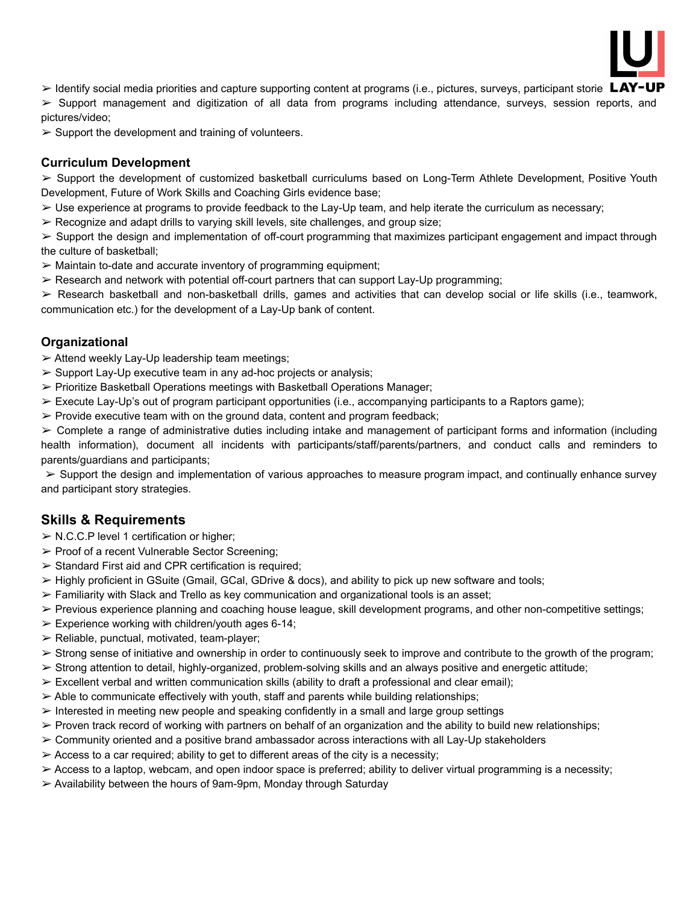

 $\triangleright$  Identify social media priorities and capture supporting content at programs (i.e., pictures, surveys, participant storie LAY-UP

➢ Support management and digitization of all data from programs including attendance, surveys, session reports, and pictures/video;

 $\triangleright$  Support the development and training of volunteers.

#### **Curriculum Development**

 $\geq$  Support the development of customized basketball curriculums based on Long-Term Athlete Development, Positive Youth Development, Future of Work Skills and Coaching Girls evidence base;

- $\triangleright$  Use experience at programs to provide feedback to the Lay-Up team, and help iterate the curriculum as necessary;
- $\triangleright$  Recognize and adapt drills to varying skill levels, site challenges, and group size;

 $\geq$  Support the design and implementation of off-court programming that maximizes participant engagement and impact through the culture of basketball;

- $\triangleright$  Maintain to-date and accurate inventory of programming equipment;
- $\geq$  Research and network with potential off-court partners that can support Lay-Up programming;

 $\triangleright$  Research basketball and non-basketball drills, games and activities that can develop social or life skills (i.e., teamwork, communication etc.) for the development of a Lay-Up bank of content.

#### **Organizational**

 $\triangleright$  Attend weekly Lay-Up leadership team meetings;

- $\triangleright$  Support Lay-Up executive team in any ad-hoc projects or analysis;
- $\triangleright$  Prioritize Basketball Operations meetings with Basketball Operations Manager;
- ➢ Execute Lay-Up's out of program participant opportunities (i.e., accompanying participants to a Raptors game);
- $\triangleright$  Provide executive team with on the ground data, content and program feedback;

 $\geq$  Complete a range of administrative duties including intake and management of participant forms and information (including health information), document all incidents with participants/staff/parents/partners, and conduct calls and reminders to parents/guardians and participants;

 $\triangleright$  Support the design and implementation of various approaches to measure program impact, and continually enhance survey and participant story strategies.

## **Skills & Requirements**

 $\triangleright$  N.C.C.P level 1 certification or higher;

- ➢ Proof of a recent Vulnerable Sector Screening;
- $\triangleright$  Standard First aid and CPR certification is required;
- $\geq$  Highly proficient in GSuite (Gmail, GCal, GDrive & docs), and ability to pick up new software and tools;
- $\triangleright$  Familiarity with Slack and Trello as key communication and organizational tools is an asset;
- $\triangleright$  Previous experience planning and coaching house league, skill development programs, and other non-competitive settings;
- $\geq$  Experience working with children/youth ages 6-14;
- $\triangleright$  Reliable, punctual, motivated, team-player;
- $\geq$  Strong sense of initiative and ownership in order to continuously seek to improve and contribute to the growth of the program;
- $\geq$  Strong attention to detail, highly-organized, problem-solving skills and an always positive and energetic attitude;
- $\triangleright$  Excellent verbal and written communication skills (ability to draft a professional and clear email);
- $\geq$  Able to communicate effectively with youth, staff and parents while building relationships;
- $\triangleright$  Interested in meeting new people and speaking confidently in a small and large group settings
- $\triangleright$  Proven track record of working with partners on behalf of an organization and the ability to build new relationships;
- $\geq$  Community oriented and a positive brand ambassador across interactions with all Lay-Up stakeholders
- $\triangleright$  Access to a car required; ability to get to different areas of the city is a necessity;
- $\geq$  Access to a laptop, webcam, and open indoor space is preferred; ability to deliver virtual programming is a necessity;
- ➢ Availability between the hours of 9am-9pm, Monday through Saturday